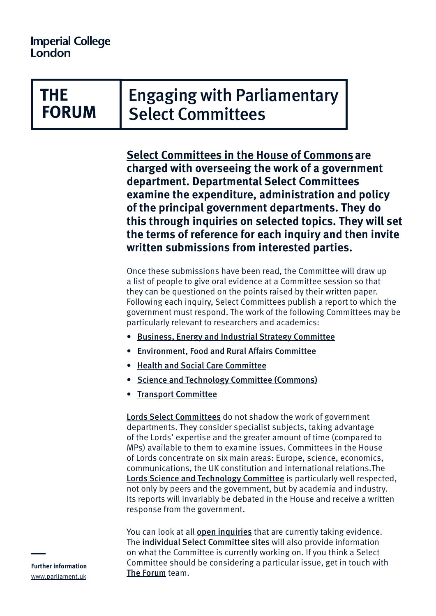## THE **FORUM**

Engaging with Parliamentary Select Committees

**[Select Committees in the House of Commons](https://www.parliament.uk/about/how/committees/select/) are charged with overseeing the work of a government department. Departmental Select Committees examine the expenditure, administration and policy of the principal government departments. They do this through inquiries on selected topics. They will set the terms of reference for each inquiry and then invite written submissions from interested parties.** 

Once these submissions have been read, the Committee will draw up a list of people to give oral evidence at a Committee session so that they can be questioned on the points raised by their written paper. Following each inquiry, Select Committees publish a report to which the government must respond. The work of the following Committees may be particularly relevant to researchers and academics:

- [Business, Energy and Industrial Strategy Committee](https://www.parliament.uk/business/committees/committees-a-z/commons-select/business-energy-industrial-strategy/)
- [Environment, Food and Rural Affairs Committee](https://www.parliament.uk/business/committees/committees-a-z/commons-select/environment-food-and-rural-affairs-committee/)
- [Health and Social Care Committee](https://www.parliament.uk/business/committees/committees-a-z/commons-select/health-and-social-care-committee/news/antimicrobial-resistance-launch-17-19-/)
- [Science and Technology Committee \(Commons\)](https://www.parliament.uk/business/committees/committees-a-z/commons-select/science-and-technology-committee/)
- [Transport Committee](https://www.parliament.uk/business/committees/committees-a-z/commons-select/transport-committee/)

**[Lords Select Committees](https://www.parliament.uk/business/committees/committees-a-z/lords-select/)** do not shadow the work of government departments. They consider specialist subjects, taking advantage of the Lords' expertise and the greater amount of time (compared to MPs) available to them to examine issues. Committees in the House of Lords concentrate on six main areas: Europe, science, economics, communications, the UK constitution and international relations.The [Lords Science and Technology Committee](https://www.parliament.uk/hlscience) is particularly well respected, not only by peers and the government, but by academia and industry. Its reports will invariably be debated in the House and receive a written response from the government.

You can look at all **[open inquiries](https://www.parliament.uk/business/committees/inquiries-a-z/current-open-calls-for-evidence/)** that are currently taking evidence. The [individual Select Committee sites](https://www.parliament.uk/business/committees/committees-a-z/commons-select/) will also provide information on what the Committee is currently working on. If you think a Select Committee should be considering a particular issue, get in touch with [The Forum](http://www.imperial.ac.uk/the-forum) team.

**Further information** [www.parliament.uk](http://www.parliament.uk)